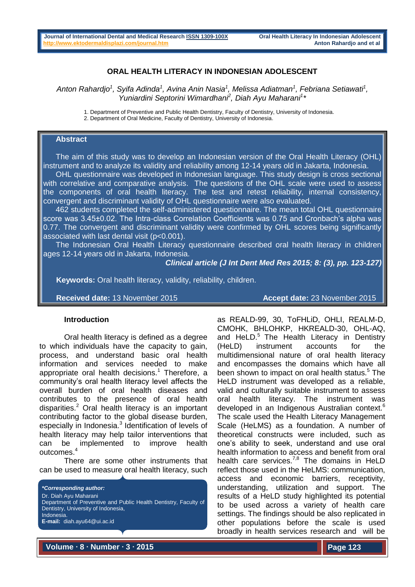# **ORAL HEALTH LITERACY IN INDONESIAN ADOLESCENT**

 $A$ nton Rahardjo<sup>1</sup>, Syifa Adinda<sup>1</sup>, Avina Anin Nasia<sup>1</sup>, Melissa Adiatman<sup>1</sup>, Febriana Setiawati<sup>1</sup>, *Yuniardini Septorini Wimardhani<sup>2</sup> , Diah Ayu Maharani<sup>1</sup> \**

1. Department of Preventive and Public Health Dentistry, Faculty of Dentistry, University of Indonesia.

2. Department of Oral Medicine, Faculty of Dentistry, University of Indonesia.

## **Abstract**

The aim of this study was to develop an Indonesian version of the Oral Health Literacy (OHL) instrument and to analyze its validity and reliability among 12-14 years old in Jakarta, Indonesia.

OHL questionnaire was developed in Indonesian language. This study design is cross sectional with correlative and comparative analysis. The questions of the OHL scale were used to assess the components of oral health literacy. The test and retest reliability, internal consistency, convergent and discriminant validity of OHL questionnaire were also evaluated.

462 students completed the self-administered questionnaire. The mean total OHL questionnaire score was 3.45±0.02. The Intra-class Correlation Coefficients was 0.75 and Cronbach's alpha was 0.77. The convergent and discriminant validity were confirmed by OHL scores being significantly associated with last dental visit (p<0.001).

The Indonesian Oral Health Literacy questionnaire described oral health literacy in children ages 12-14 years old in Jakarta, Indonesia.

*Clinical article (J Int Dent Med Res 2015; 8: (3), pp. 123-127)* 

 **Keywords:** Oral health literacy, validity, reliability, children.

**Received date:** 13 November 2015 **Accept date:** 23 November 2015

## **Introduction**

Oral health literacy is defined as a degree to which individuals have the capacity to gain, process, and understand basic oral health information and services needed to make appropriate oral health decisions.<sup>1</sup> Therefore, a community's oral health literacy level affects the overall burden of oral health diseases and contributes to the presence of oral health disparities.<sup>2</sup> Oral health literacy is an important contributing factor to the global disease burden, especially in Indonesia.<sup>3</sup> Identification of levels of health literacy may help tailor interventions that can be implemented to improve health outcomes.<sup>4</sup>

There are some other instruments that can be used to measure oral health literacy, such



as REALD-99, 30, ToFHLiD, OHLI, REALM-D, CMOHK, BHLOHKP, HKREALD-30, OHL-AQ, and HeLD. $<sup>5</sup>$  The Health Literacy in Dentistry</sup> (HeLD) instrument accounts for the multidimensional nature of oral health literacy and encompasses the domains which have all been shown to impact on oral health status.<sup>5</sup> The HeLD instrument was developed as a reliable, valid and culturally suitable instrument to assess oral health literacy. The instrument was developed in an Indigenous Australian context.<sup>6</sup> The scale used the Health Literacy Management Scale (HeLMS) as a foundation. A number of theoretical constructs were included, such as one's ability to seek, understand and use oral health information to access and benefit from oral health care services.<sup>7,8</sup> The domains in HeLD reflect those used in the HeLMS: communication, access and economic barriers, receptivity, understanding, utilization and support. The results of a HeLD study highlighted its potential to be used across a variety of health care settings. The findings should be also replicated in other populations before the scale is used broadly in health services research and will be

**Volume ∙ 8 ∙ Number ∙ 3 ∙ 2015**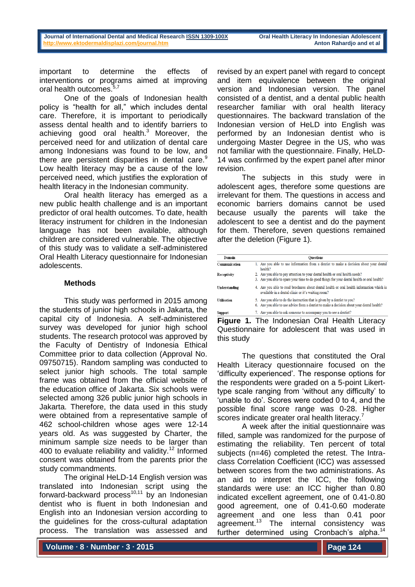important to determine the effects of interventions or programs aimed at improving oral health outcomes.<sup>5,7</sup>

One of the goals of Indonesian health policy is "health for all," which includes dental care. Therefore, it is important to periodically assess dental health and to identify barriers to achieving good oral health.<sup>3</sup> Moreover, the perceived need for and utilization of dental care among Indonesians was found to be low, and there are persistent disparities in dental care. $<sup>9</sup>$ </sup> Low health literacy may be a cause of the low perceived need, which justifies the exploration of health literacy in the Indonesian community.

Oral health literacy has emerged as a new public health challenge and is an important predictor of oral health outcomes. To date, health literacy instrument for children in the Indonesian language has not been available, although children are considered vulnerable. The objective of this study was to validate a self-administered Oral Health Literacy questionnaire for Indonesian adolescents.

# **Methods**

This study was performed in 2015 among the students of junior high schools in Jakarta, the capital city of Indonesia. A self-administered survey was developed for junior high school students. The research protocol was approved by the Faculty of Dentistry of Indonesia Ethical Committee prior to data collection (Approval No. 09750715). Random sampling was conducted to select junior high schools. The total sample frame was obtained from the official website of the education office of Jakarta. Six schools were selected among 326 public junior high schools in Jakarta. Therefore, the data used in this study were obtained from a representative sample of 462 school-children whose ages were 12-14 years old. As was suggested by Charter, the minimum sample size needs to be larger than 400 to evaluate reliability and validity.<sup>12</sup> Informed consent was obtained from the parents prior the study commandments.

The original HeLD-14 English version was translated into Indonesian script using the forward-backward process<sup>10,11</sup> by an Indonesian dentist who is fluent in both Indonesian and English into an Indonesian version according to the guidelines for the cross-cultural adaptation process. The translation was assessed and

revised by an expert panel with regard to concept and item equivalence between the original version and Indonesian version. The panel consisted of a dentist, and a dental public health researcher familiar with oral health literacy questionnaires. The backward translation of the Indonesian version of HeLD into English was performed by an Indonesian dentist who is undergoing Master Degree in the US, who was not familiar with the questionnaire. Finally, HeLD-14 was confirmed by the expert panel after minor revision.

The subjects in this study were in adolescent ages, therefore some questions are irrelevant for them. The questions in access and economic barriers domains cannot be used because usually the parents will take the adolescent to see a dentist and do the payment for them. Therefore, seven questions remained after the deletion (Figure 1).

| Domain             | <b>Ouestions</b>                                                                                                                                                            |  |  |  |
|--------------------|-----------------------------------------------------------------------------------------------------------------------------------------------------------------------------|--|--|--|
| Communication      | 1. Are you able to use information from a dentist to make a decision about your dental<br>health?                                                                           |  |  |  |
| Receptivity        | 2. Are you able to pay attention to your dental health or oral health needs?<br>3. Are you able to spare your time to do good things for your dental health or oral health? |  |  |  |
| Understanding      | 4. Are you able to read brochures about dental health or oral health information which is<br>available in a dental clinic or it's waiting room?                             |  |  |  |
| <b>Utilisation</b> | 5. Are you able to do the instruction that is given by a dentist to you?<br>6. Are you able to use advice from a dentist to make a decision about your dental health?       |  |  |  |
| Support            | 7. Are you able to ask someone to accompany you to see a dentist?                                                                                                           |  |  |  |

**Figure 1.** The Indonesian Oral Health Literacy Questionnaire for adolescent that was used in this study

The questions that constituted the Oral Health Literacy questionnaire focused on the 'difficulty experienced'. The response options for the respondents were graded on a 5-point Likerttype scale ranging from 'without any difficulty' to 'unable to do'. Scores were coded 0 to 4, and the possible final score range was 0-28. Higher scores indicate greater oral health literacy.<sup>7</sup>

A week after the initial questionnaire was filled, sample was randomized for the purpose of estimating the reliability. Ten percent of total subjects (n=46) completed the retest. The Intraclass Correlation Coefficient (ICC) was assessed between scores from the two administrations. As an aid to interpret the ICC, the following standards were use: an ICC higher than 0.80 indicated excellent agreement, one of 0.41-0.80 good agreement, one of 0.41-0.60 moderate agreement and one less than 0.41 poor agreement.<sup>13</sup> The internal consistency was further determined using Cronbach's alpha.<sup>14</sup>

**Volume ∙ 8 ∙ Number ∙ 3 ∙ 2015**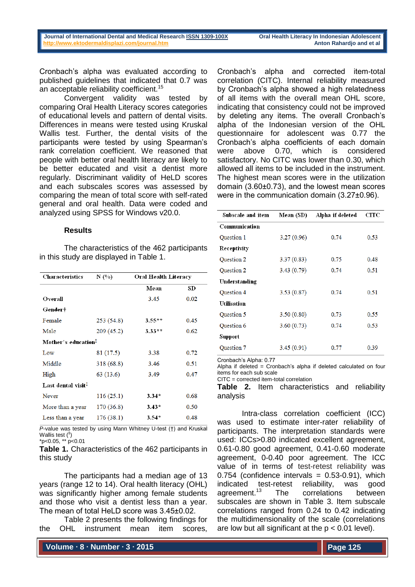Cronbach's alpha was evaluated according to published guidelines that indicated that 0.7 was an acceptable reliability coefficient.<sup>15</sup>

Convergent validity was tested by comparing Oral Health Literacy scores categories of educational levels and pattern of dental visits. Differences in means were tested using Kruskal Wallis test. Further, the dental visits of the participants were tested by using Spearman's rank correlation coefficient. We reasoned that people with better oral health literacy are likely to be better educated and visit a dentist more regularly. Discriminant validity of HeLD scores and each subscales scores was assessed by comparing the mean of total score with self-rated general and oral health. Data were coded and analyzed using SPSS for Windows v20.0.

### **Results**

The characteristics of the 462 participants in this study are displayed in Table 1.

| <b>Characteristics</b>         | N (%)      | Oral Health Literacy |      |  |
|--------------------------------|------------|----------------------|------|--|
|                                |            | Mean                 | SD   |  |
| Overall                        |            | 3.45                 | 0.02 |  |
| Gender†                        |            |                      |      |  |
| Female                         | 253 (54.8) | $3.55**$             | 0.45 |  |
| Male                           | 209 (45.2) | $3.33**$             | 0.62 |  |
| Mother's education!            |            |                      |      |  |
| Low                            | 81 (17.5)  | 3.38                 | 0.72 |  |
| Middle                         | 318 (68.8) | 3.46                 | 0.51 |  |
| High                           | 63 (13.6)  | 3.49                 | 0.47 |  |
| Last dental visit <sup>1</sup> |            |                      |      |  |
| Never                          | 116(25.1)  | $3.34*$              | 0.68 |  |
| More than a year               | 170 (36.8) | $3.43*$              | 0.50 |  |
| Less than a year               | 176(38.1)  | $3.54*$              | 0.48 |  |

*P*-value was tested by using Mann Whitney U-test (†) and Kruskal Wallis test  $({}^{4})$  $*p<0.05$ ,  $*$  $p<0.01$ 

**Table 1.** Characteristics of the 462 participants in this study

The participants had a median age of 13 years (range 12 to 14). Oral health literacy (OHL) was significantly higher among female students and those who visit a dentist less than a year. The mean of total HeLD score was 3.45±0.02.

Table 2 presents the following findings for the OHL instrument mean item scores,

**Volume ∙ 8 ∙ Number ∙ 3 ∙ 2015**

Cronbach's alpha and corrected item-total correlation (CITC). Internal reliability measured by Cronbach's alpha showed a high relatedness of all items with the overall mean OHL score, indicating that consistency could not be improved by deleting any items. The overall Cronbach's alpha of the Indonesian version of the OHL questionnaire for adolescent was 0.77 the Cronbach's alpha coefficients of each domain were above 0.70, which is considered satisfactory. No CITC was lower than 0.30, which allowed all items to be included in the instrument. The highest mean scores were in the utilization domain (3.60±0.73), and the lowest mean scores were in the communication domain (3.27±0.96).

| Mean (SD)  | Alpha if deleted | CITC |  |
|------------|------------------|------|--|
|            |                  |      |  |
| 3.27(0.96) | 0.74             | 0.53 |  |
|            |                  |      |  |
| 3.37(0.83) | 0.75             | 0.48 |  |
| 3.43(0.79) | 0.74             | 0.51 |  |
|            |                  |      |  |
| 3.53(0.87) | 0.74             | 0.51 |  |
|            |                  |      |  |
| 3.50(0.80) | 0.73             | 0.55 |  |
| 3.60(0.73) | 0.74             | 0.53 |  |
|            |                  |      |  |
| 3.45(0.91) | 0.77             | 0.39 |  |
|            |                  |      |  |

Cronbach's Alpha: 0.77

Alpha if deleted = Cronbach's alpha if deleted calculated on four items for each sub scale

CITC = corrected item-total correlation

**Table 2.** Item characteristics and reliability analysis

Intra-class correlation coefficient (ICC) was used to estimate inter-rater reliability of participants. The interpretation standards were used: ICCs>0.80 indicated excellent agreement, 0.61-0.80 good agreement, 0.41-0.60 moderate agreement, 0-0.40 poor agreement. The ICC value of in terms of test-retest reliability was  $0.754$  (confidence intervals =  $0.53-0.91$ ), which indicated test-retest reliability, was good agreement.<sup>13</sup> The correlations between subscales are shown in Table 3. Item subscale correlations ranged from 0.24 to 0.42 indicating the multidimensionality of the scale (correlations are low but all significant at the  $p < 0.01$  level).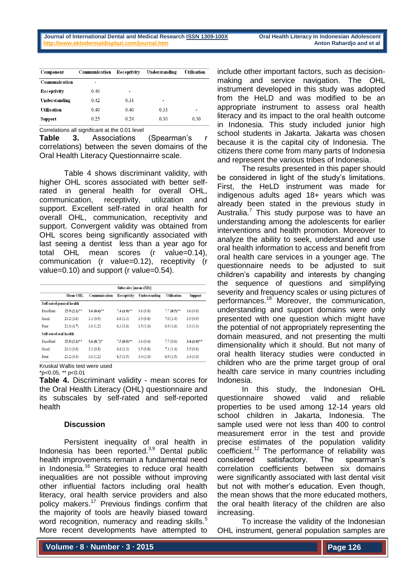| Component          | Communication | Receptivity | Understanding | Utilisation |
|--------------------|---------------|-------------|---------------|-------------|
| Communication      |               |             |               |             |
| Receptivity        | 0.40          |             |               |             |
| Understanding      | 0.42          | 0.31        | ۰             |             |
| <b>Utilisation</b> | 0.40          | 0.40        | 0.33          | ٠           |
| Support            | 0.25          | 0.24        | 0.30          | 0.30        |

Correlations all significant at the 0.01 level

**Table 3.** Associations (Spearman's r correlations) between the seven domains of the Oral Health Literacy Questionnairre scale.

Table 4 shows discriminant validity, with higher OHL scores associated with better selfrated in general health for overall OHL, communication, receptivity, utilization and support. Excellent self-rated in oral health for overall OHL, communication, receptivity and support. Convergent validity was obtained from OHL scores being significantly associated with last seeing a dentist less than a year ago for total OHL mean scores (r value=0.14), communication (r value=0.12), receptivity (r value=0.10) and support (r value=0.54).

|                        |                           |                         | Subscales [mean (SD)]    |               |                          |                 |
|------------------------|---------------------------|-------------------------|--------------------------|---------------|--------------------------|-----------------|
|                        | Mean OHL                  | Communication           | Receptivity              | Understanding | <b>Utilisation</b>       | Support         |
|                        | Self-rated general health |                         |                          |               |                          |                 |
| Excellent              | $25.9(2.1)$ <sup>**</sup> | $3.6(0.6)$ **           | $7.4(1.0)$ <sup>**</sup> | 3.6(0.8)      | $7.7(0.5)$ <sup>**</sup> | 3.6(0.9)        |
| Good                   | 24.2(3.6)                 | 3.3(0.9)                | 6.8(1.3)                 | 3.5(0.8)      | 7.0(1.4)                 | 3.5(0.9)        |
| Poor                   | 23.0(4.7)                 | 3.0(1.2)                | 6.3(1.6)                 | 3.5(1.0)      | 6.9(1.6)                 | 3.3(1.0)        |
| Self-rated oral health |                           |                         |                          |               |                          |                 |
| Excellent              | $25.8(2.1)$ <sup>**</sup> | $3.6(0.7)$ <sup>*</sup> | $7.5(0.8)$ <sup>**</sup> | 3.6(0.6)      | 7.7(0.6)                 | $3.4(1.0)^{+1}$ |
| Good                   | 24.3(3.6)                 | 3.3(0.8)                | 6.8(1.3)                 | 3.5(0.8)      | 7.1(1.4)                 | 3.5(0.8)        |
| Poor                   | 23.2(4.4)                 | 3.0(1.2)                | 6.5(1.5)                 | 3.4(1.0)      | 6.9(1.5)                 | 3.4(1.0)        |

Kruskal Wallis test were used \*p<0.05, \*\* p<0.01

**Table 4.** Discriminant validity - mean scores for the Oral Health Literacy (OHL) questionnaire and its subscales by self-rated and self-reported health

### **Discussion**

Persistent inequality of oral health in Indonesia has been reported.3,9 Dental public health improvements remain a fundamental need in Indonesia.<sup>16</sup> Strategies to reduce oral health inequalities are not possible without improving other influential factors including oral health literacy, oral health service providers and also policy makers.<sup>17</sup> Previous findings confirm that the majority of tools are heavily biased toward word recognition, numeracy and reading skills.<sup>5</sup> More recent developments have attempted to

include other important factors, such as decisionmaking and service navigation. The OHL instrument developed in this study was adopted from the HeLD and was modified to be an appropriate instrument to assess oral health literacy and its impact to the oral health outcome in Indonesia. This study included junior high school students in Jakarta. Jakarta was chosen because it is the capital city of Indonesia. The citizens there come from many parts of Indonesia and represent the various tribes of Indonesia.

The results presented in this paper should be considered in light of the study's limitations. First, the HeLD instrument was made for indigenous adults aged 18+ years which was already been stated in the previous study in Australia.<sup>7</sup> This study purpose was to have an understanding among the adolescents for earlier interventions and health promotion. Moreover to analyze the ability to seek, understand and use oral health information to access and benefit from oral health care services in a younger age. The questionnaire needs to be adjusted to suit children's capability and interests by changing the sequence of questions and simplifying severity and frequency scales or using pictures of performances.<sup>18</sup> Moreover, the communication, understanding and support domains were only presented with one question which might have the potential of not appropriately representing the domain measured, and not presenting the multi dimensionality which it should. But not many of oral health literacy studies were conducted in children who are the prime target group of oral health care service in many countries including Indonesia.

In this study, the Indonesian OHL questionnaire showed valid and reliable properties to be used among 12-14 years old school children in Jakarta, Indonesia. The sample used were not less than 400 to control measurement error in the test and provide precise estimates of the population validity coefficient.<sup>12</sup> The performance of reliability was considered satisfactory. The spearman's correlation coefficients between six domains were significantly associated with last dental visit but not with mother's education. Even though, the mean shows that the more educated mothers, the oral health literacy of the children are also increasing.

To increase the validity of the Indonesian OHL instrument, general population samples are

**Volume ∙ 8 ∙ Number ∙ 3 ∙ 2015**